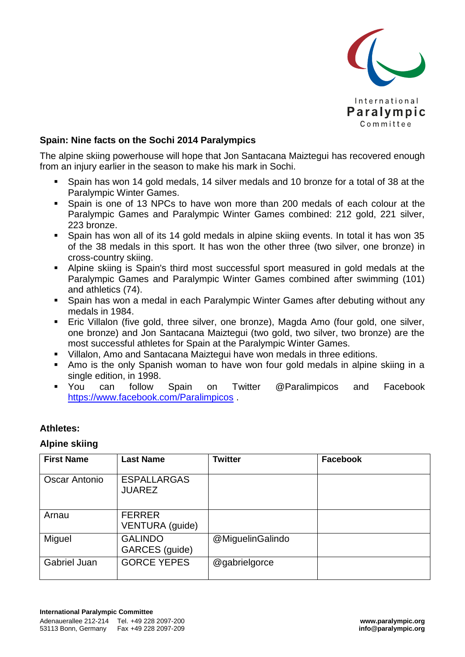

## **Spain: Nine facts on the Sochi 2014 Paralympics**

The alpine skiing powerhouse will hope that Jon Santacana Maiztegui has recovered enough from an injury earlier in the season to make his mark in Sochi.

- Spain has won 14 gold medals, 14 silver medals and 10 bronze for a total of 38 at the Paralympic Winter Games.
- Spain is one of 13 NPCs to have won more than 200 medals of each colour at the Paralympic Games and Paralympic Winter Games combined: 212 gold, 221 silver, 223 bronze.
- Spain has won all of its 14 gold medals in alpine skiing events. In total it has won 35 of the 38 medals in this sport. It has won the other three (two silver, one bronze) in cross-country skiing.
- Alpine skiing is Spain's third most successful sport measured in gold medals at the Paralympic Games and Paralympic Winter Games combined after swimming (101) and athletics (74).
- Spain has won a medal in each Paralympic Winter Games after debuting without any medals in 1984.
- **Eric Villalon (five gold, three silver, one bronze), Magda Amo (four gold, one silver,** one bronze) and Jon Santacana Maiztegui (two gold, two silver, two bronze) are the most successful athletes for Spain at the Paralympic Winter Games.
- Villalon, Amo and Santacana Maiztegui have won medals in three editions.
- Amo is the only Spanish woman to have won four gold medals in alpine skiing in a single edition, in 1998.
- You can follow Spain on Twitter @Paralimpicos and Facebook <https://www.facebook.com/Paralimpicos> .

### **Athletes:**

#### **Alpine skiing**

| <b>First Name</b>    | <b>Last Name</b>                    | <b>Twitter</b>   | <b>Facebook</b> |
|----------------------|-------------------------------------|------------------|-----------------|
| <b>Oscar Antonio</b> | <b>ESPALLARGAS</b><br><b>JUAREZ</b> |                  |                 |
| Arnau                | <b>FERRER</b><br>VENTURA (guide)    |                  |                 |
| Miguel               | <b>GALINDO</b><br>GARCES (guide)    | @MiguelinGalindo |                 |
| <b>Gabriel Juan</b>  | <b>GORCE YEPES</b>                  | @gabrielgorce    |                 |